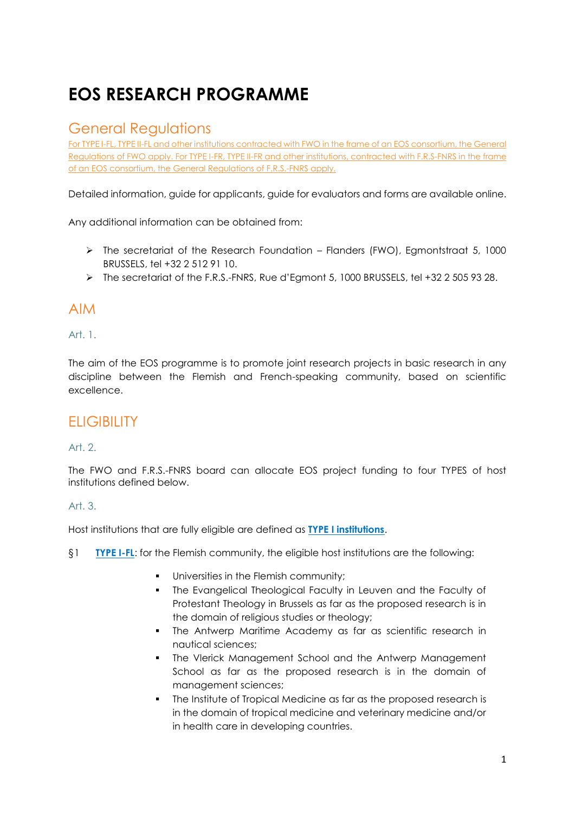# **EOS RESEARCH PROGRAMME**

## General Regulations

For TYPE I-FL, TYPE II-FL and other institutions contracted with FWO in the frame of an EOS consortium, the General Regulations of FWO apply. For TYPE I-FR, TYPE II-FR and other institutions, contracted with F.R.S-FNRS in the frame of an EOS consortium, the General Regulations of F.R.S.-FNRS apply.

Detailed information, guide for applicants, guide for evaluators and forms are available online.

Any additional information can be obtained from:

- $\triangleright$  The secretariat of the Research Foundation Flanders (FWO), Egmontstraat 5, 1000 BRUSSELS, tel +32 2 512 91 10.
- ▶ The secretariat of the F.R.S.-FNRS, Rue d'Egmont 5, 1000 BRUSSELS, tel +32 2 505 93 28.

## AIM

### Art. 1.

The aim of the EOS programme is to promote joint research projects in basic research in any discipline between the Flemish and French-speaking community, based on scientific excellence.

## **ELIGIBILITY**

## Art. 2.

The FWO and F.R.S.-FNRS board can allocate EOS project funding to four TYPES of host institutions defined below.

### Art. 3.

Host institutions that are fully eligible are defined as **TYPE I institutions**.

- §1 **TYPE I-FL**: for the Flemish community, the eligible host institutions are the following:
	- **Universities in the Flemish community;**
	- The Evangelical Theological Faculty in Leuven and the Faculty of Protestant Theology in Brussels as far as the proposed research is in the domain of religious studies or theology;
	- **The Antwerp Maritime Academy as far as scientific research in** nautical sciences;
	- **The Vlerick Management School and the Antwerp Management** School as far as the proposed research is in the domain of management sciences;
	- The Institute of Tropical Medicine as far as the proposed research is in the domain of tropical medicine and veterinary medicine and/or in health care in developing countries.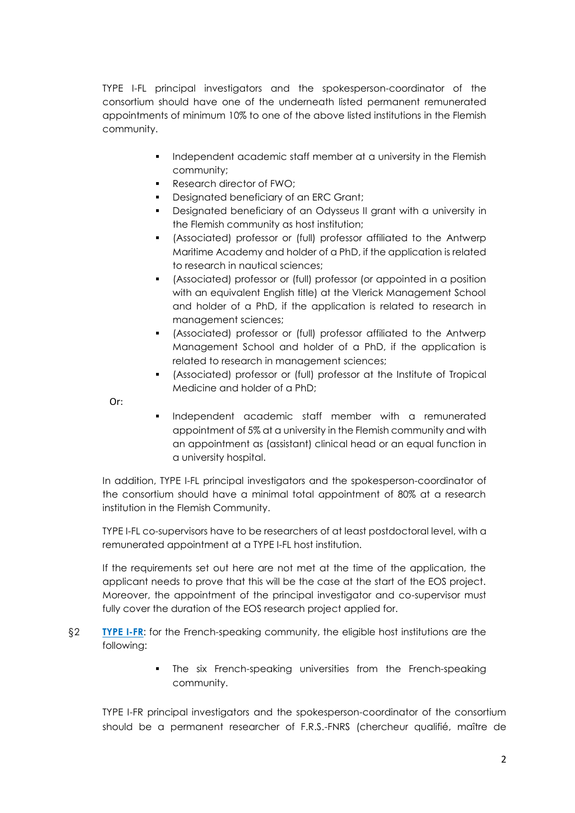TYPE I-FL principal investigators and the spokesperson-coordinator of the consortium should have one of the underneath listed permanent remunerated appointments of minimum 10% to one of the above listed institutions in the Flemish community.

- Independent academic staff member at a university in the Flemish community;
- **Research director of FWO;**
- Designated beneficiary of an ERC Grant:
- Designated beneficiary of an Odysseus II grant with a university in the Flemish community as host institution;
- (Associated) professor or (full) professor affiliated to the Antwerp Maritime Academy and holder of a PhD, if the application is related to research in nautical sciences;
- (Associated) professor or (full) professor (or appointed in a position with an equivalent English title) at the Vlerick Management School and holder of a PhD, if the application is related to research in management sciences;
- (Associated) professor or (full) professor affiliated to the Antwerp Management School and holder of a PhD, if the application is related to research in management sciences;
- (Associated) professor or (full) professor at the Institute of Tropical Medicine and holder of a PhD;

Or:

**Independent academic staff member with a remunerated** appointment of 5% at a university in the Flemish community and with an appointment as (assistant) clinical head or an equal function in a university hospital.

In addition, TYPE I-FL principal investigators and the spokesperson-coordinator of the consortium should have a minimal total appointment of 80% at a research institution in the Flemish Community.

TYPE I-FL co-supervisors have to be researchers of at least postdoctoral level, with a remunerated appointment at a TYPE I-FL host institution.

If the requirements set out here are not met at the time of the application, the applicant needs to prove that this will be the case at the start of the EOS project. Moreover, the appointment of the principal investigator and co-supervisor must fully cover the duration of the EOS research project applied for.

- §2 **TYPE I-FR**: for the French-speaking community, the eligible host institutions are the following:
	- **The six French-speaking universities from the French-speaking** community.

TYPE I-FR principal investigators and the spokesperson-coordinator of the consortium should be a permanent researcher of F.R.S.-FNRS (chercheur qualifié, maître de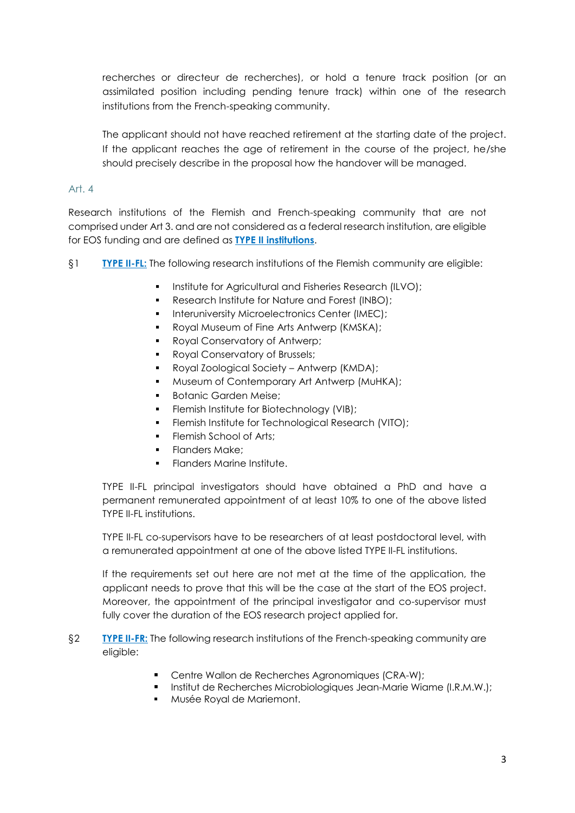recherches or directeur de recherches), or hold a tenure track position (or an assimilated position including pending tenure track) within one of the research institutions from the French-speaking community.

The applicant should not have reached retirement at the starting date of the project. If the applicant reaches the age of retirement in the course of the project, he/she should precisely describe in the proposal how the handover will be managed.

### Art. 4

Research institutions of the Flemish and French-speaking community that are not comprised under Art 3. and are not considered as a federal research institution, are eligible for EOS funding and are defined as **TYPE II institutions**.

- §1 **TYPE II-FL:** The following research institutions of the Flemish community are eligible:
	- **Institute for Agricultural and Fisheries Research (ILVO);**
	- Research Institute for Nature and Forest (INBO);
	- **Interuniversity Microelectronics Center (IMEC):**
	- **Royal Museum of Fine Arts Antwerp (KMSKA);**
	- Royal Conservatory of Antwerp;
	- **Royal Conservatory of Brussels;**
	- Royal Zoological Society Antwerp (KMDA);
	- **Museum of Contemporary Art Antwerp (MuHKA);**
	- Botanic Garden Meise;
	- Flemish Institute for Biotechnology (VIB);
	- Flemish Institute for Technological Research (VITO);
	- Flemish School of Arts;
	- Flanders Make;
	- Flanders Marine Institute.

TYPE II-FL principal investigators should have obtained a PhD and have a permanent remunerated appointment of at least 10% to one of the above listed TYPE II-FL institutions.

TYPE II-FL co-supervisors have to be researchers of at least postdoctoral level, with a remunerated appointment at one of the above listed TYPE II-FL institutions.

If the requirements set out here are not met at the time of the application, the applicant needs to prove that this will be the case at the start of the EOS project. Moreover, the appointment of the principal investigator and co-supervisor must fully cover the duration of the EOS research project applied for.

- §2 **TYPE II-FR:** The following research institutions of the French-speaking community are eligible:
	- **Centre Wallon de Recherches Agronomiques (CRA-W);**
	- **Institut de Recherches Microbiologiques Jean-Marie Wiame (I.R.M.W.);**
	- **Musée Royal de Mariemont.**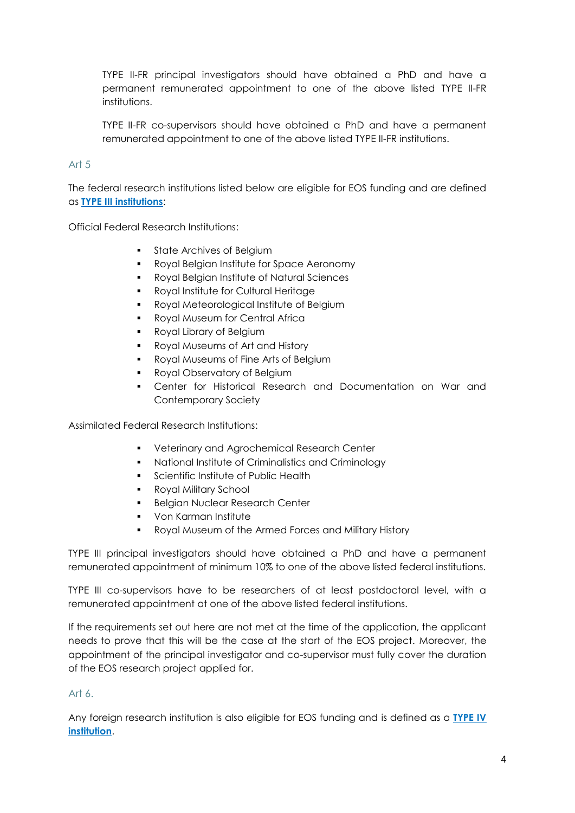TYPE II-FR principal investigators should have obtained a PhD and have a permanent remunerated appointment to one of the above listed TYPE II-FR institutions.

TYPE II-FR co-supervisors should have obtained a PhD and have a permanent remunerated appointment to one of the above listed TYPE II-FR institutions.

### Art 5

The federal research institutions listed below are eligible for EOS funding and are defined as **TYPE III institutions**:

Official Federal Research Institutions:

- State Archives of Belgium
- Royal Belgian Institute for Space Aeronomy
- Royal Belgian Institute of Natural Sciences
- **Royal Institute for Cultural Heritage**
- **Royal Meteorological Institute of Belgium**
- **Royal Museum for Central Africa**
- **Royal Library of Belgium**
- **Royal Museums of Art and History**
- **Royal Museums of Fine Arts of Belgium**
- Royal Observatory of Belgium
- Center for Historical Research and Documentation on War and Contemporary Society

Assimilated Federal Research Institutions:

- **•** Veterinary and Agrochemical Research Center
- National Institute of Criminalistics and Criminology
- **Scientific Institute of Public Health**
- **Royal Military School**
- **Belgian Nuclear Research Center**
- **•** Von Karman Institute
- Royal Museum of the Armed Forces and Military History

TYPE III principal investigators should have obtained a PhD and have a permanent remunerated appointment of minimum 10% to one of the above listed federal institutions.

TYPE III co-supervisors have to be researchers of at least postdoctoral level, with a remunerated appointment at one of the above listed federal institutions.

If the requirements set out here are not met at the time of the application, the applicant needs to prove that this will be the case at the start of the EOS project. Moreover, the appointment of the principal investigator and co-supervisor must fully cover the duration of the EOS research project applied for.

### Art  $6$ .

Any foreign research institution is also eligible for EOS funding and is defined as a **TYPE IV institution**.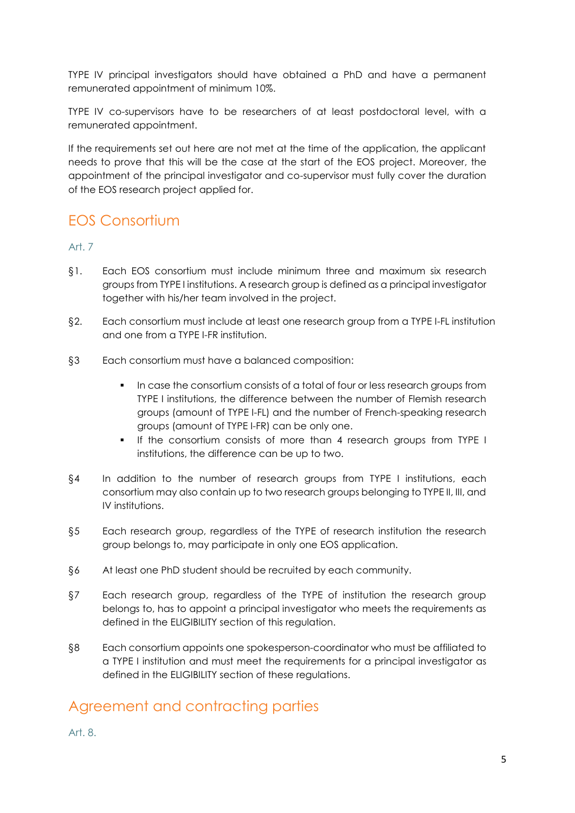TYPE IV principal investigators should have obtained a PhD and have a permanent remunerated appointment of minimum 10%.

TYPE IV co-supervisors have to be researchers of at least postdoctoral level, with a remunerated appointment.

If the requirements set out here are not met at the time of the application, the applicant needs to prove that this will be the case at the start of the EOS project. Moreover, the appointment of the principal investigator and co-supervisor must fully cover the duration of the EOS research project applied for.

## EOS Consortium

Art. 7

- §1. Each EOS consortium must include minimum three and maximum six research groups from TYPE I institutions. A research group is defined as a principal investigator together with his/her team involved in the project.
- §2. Each consortium must include at least one research group from a TYPE I-FL institution and one from a TYPE I-FR institution.
- §3 Each consortium must have a balanced composition:
	- In case the consortium consists of a total of four or less research groups from TYPE I institutions, the difference between the number of Flemish research groups (amount of TYPE I-FL) and the number of French-speaking research groups (amount of TYPE I-FR) can be only one.
	- If the consortium consists of more than 4 research groups from TYPE I institutions, the difference can be up to two.
- §4 In addition to the number of research groups from TYPE I institutions, each consortium may also contain up to two research groups belonging to TYPE II, III, and IV institutions.
- §5 Each research group, regardless of the TYPE of research institution the research group belongs to, may participate in only one EOS application.
- §6 At least one PhD student should be recruited by each community.
- §7 Each research group, regardless of the TYPE of institution the research group belongs to, has to appoint a principal investigator who meets the requirements as defined in the ELIGIBILITY section of this regulation.
- §8 Each consortium appoints one spokesperson-coordinator who must be affiliated to a TYPE I institution and must meet the requirements for a principal investigator as defined in the ELIGIBILITY section of these regulations.

## Agreement and contracting parties

Art. 8.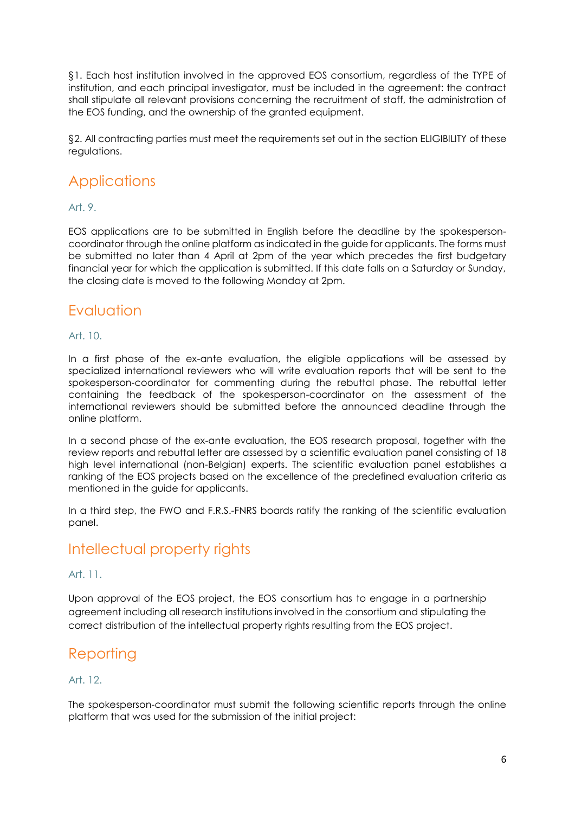§1. Each host institution involved in the approved EOS consortium, regardless of the TYPE of institution, and each principal investigator, must be included in the agreement: the contract shall stipulate all relevant provisions concerning the recruitment of staff, the administration of the EOS funding, and the ownership of the granted equipment.

§2. All contracting parties must meet the requirements set out in the section ELIGIBILITY of these regulations.

## **Applications**

### Art. 9.

EOS applications are to be submitted in English before the deadline by the spokespersoncoordinator through the online platform as indicated in the guide for applicants. The forms must be submitted no later than 4 April at 2pm of the year which precedes the first budgetary financial year for which the application is submitted. If this date falls on a Saturday or Sunday, the closing date is moved to the following Monday at 2pm.

## Evaluation

### Art. 10.

In a first phase of the ex-ante evaluation, the eligible applications will be assessed by specialized international reviewers who will write evaluation reports that will be sent to the spokesperson-coordinator for commenting during the rebuttal phase. The rebuttal letter containing the feedback of the spokesperson-coordinator on the assessment of the international reviewers should be submitted before the announced deadline through the online platform.

In a second phase of the ex-ante evaluation, the EOS research proposal, together with the review reports and rebuttal letter are assessed by a scientific evaluation panel consisting of 18 high level international (non-Belgian) experts. The scientific evaluation panel establishes a ranking of the EOS projects based on the excellence of the predefined evaluation criteria as mentioned in the guide for applicants.

In a third step, the FWO and F.R.S.-FNRS boards ratify the ranking of the scientific evaluation panel.

## Intellectual property rights

### Art. 11.

Upon approval of the EOS project, the EOS consortium has to engage in a partnership agreement including all research institutions involved in the consortium and stipulating the correct distribution of the intellectual property rights resulting from the EOS project.

## **Reporting**

### Art. 12.

The spokesperson-coordinator must submit the following scientific reports through the online platform that was used for the submission of the initial project: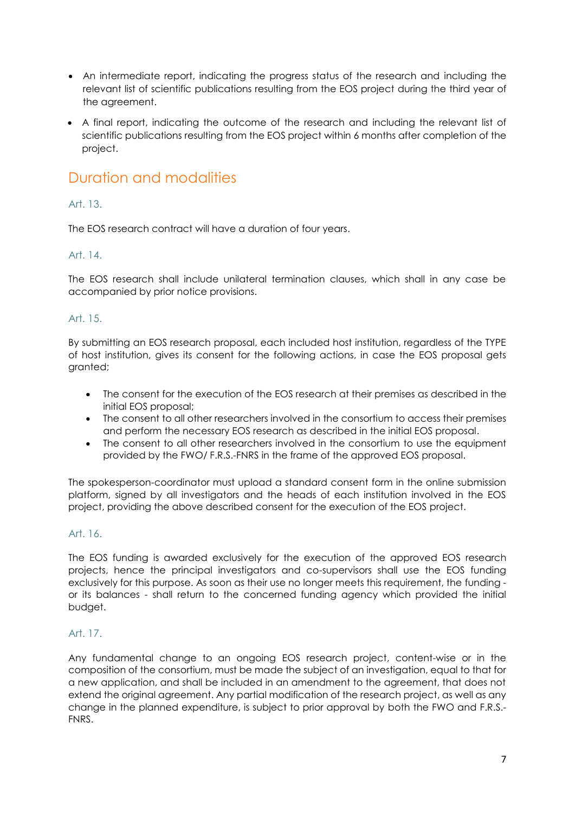- An intermediate report, indicating the progress status of the research and including the relevant list of scientific publications resulting from the EOS project during the third year of the agreement.
- A final report, indicating the outcome of the research and including the relevant list of scientific publications resulting from the EOS project within 6 months after completion of the project.

## Duration and modalities

## Art. 13.

The EOS research contract will have a duration of four years.

## Art. 14.

The EOS research shall include unilateral termination clauses, which shall in any case be accompanied by prior notice provisions.

## Art. 15.

By submitting an EOS research proposal, each included host institution, regardless of the TYPE of host institution, gives its consent for the following actions, in case the EOS proposal gets granted;

- The consent for the execution of the EOS research at their premises as described in the initial EOS proposal;
- The consent to all other researchers involved in the consortium to access their premises and perform the necessary EOS research as described in the initial EOS proposal.
- The consent to all other researchers involved in the consortium to use the equipment provided by the FWO/ F.R.S.-FNRS in the frame of the approved EOS proposal.

The spokesperson-coordinator must upload a standard consent form in the online submission platform, signed by all investigators and the heads of each institution involved in the EOS project, providing the above described consent for the execution of the EOS project.

## Art. 16.

The EOS funding is awarded exclusively for the execution of the approved EOS research projects, hence the principal investigators and co-supervisors shall use the EOS funding exclusively for this purpose. As soon as their use no longer meets this requirement, the funding or its balances - shall return to the concerned funding agency which provided the initial budget.

## Art. 17.

Any fundamental change to an ongoing EOS research project, content-wise or in the composition of the consortium, must be made the subject of an investigation, equal to that for a new application, and shall be included in an amendment to the agreement, that does not extend the original agreement. Any partial modification of the research project, as well as any change in the planned expenditure, is subject to prior approval by both the FWO and F.R.S.- FNRS.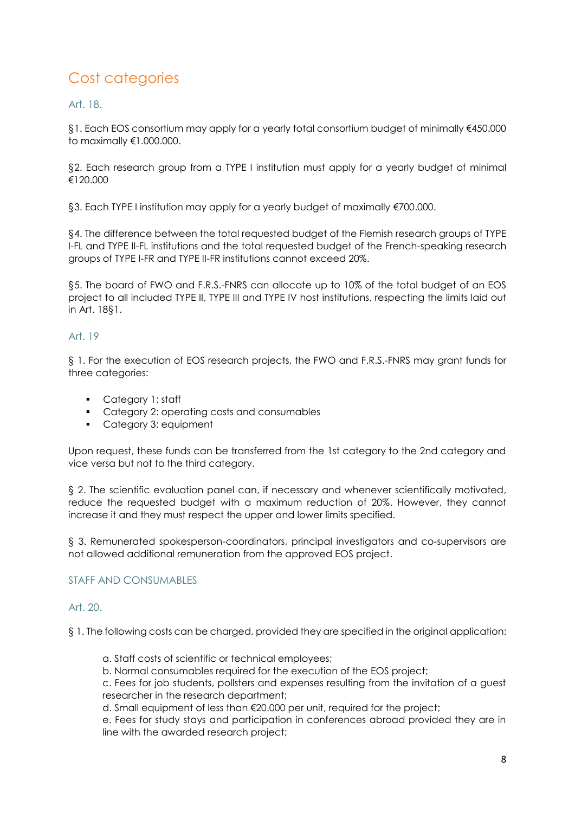## Cost categories

Art. 18.

§1. Each EOS consortium may apply for a yearly total consortium budget of minimally €450.000 to maximally €1.000.000.

§2. Each research group from a TYPE I institution must apply for a yearly budget of minimal €120.000

§3. Each TYPE I institution may apply for a yearly budget of maximally €700.000.

§4. The difference between the total requested budget of the Flemish research groups of TYPE I-FL and TYPE II-FL institutions and the total requested budget of the French-speaking research groups of TYPE I-FR and TYPE II-FR institutions cannot exceed 20%.

§5. The board of FWO and F.R.S.-FNRS can allocate up to 10% of the total budget of an EOS project to all included TYPE II, TYPE III and TYPE IV host institutions, respecting the limits laid out in Art. 18§1.

## Art. 19

§ 1. For the execution of EOS research projects, the FWO and F.R.S.-FNRS may grant funds for three categories:

- **Category 1: staff**
- **Category 2: operating costs and consumables**
- Category 3: equipment

Upon request, these funds can be transferred from the 1st category to the 2nd category and vice versa but not to the third category.

§ 2. The scientific evaluation panel can, if necessary and whenever scientifically motivated, reduce the requested budget with a maximum reduction of 20%. However, they cannot increase it and they must respect the upper and lower limits specified.

§ 3. Remunerated spokesperson-coordinators, principal investigators and co-supervisors are not allowed additional remuneration from the approved EOS project.

## STAFF AND CONSUMABLES

### Art. 20.

§ 1. The following costs can be charged, provided they are specified in the original application:

- a. Staff costs of scientific or technical employees;
- b. Normal consumables required for the execution of the EOS project;

c. Fees for job students, pollsters and expenses resulting from the invitation of a guest researcher in the research department;

d. Small equipment of less than €20.000 per unit, required for the project;

e. Fees for study stays and participation in conferences abroad provided they are in line with the awarded research project;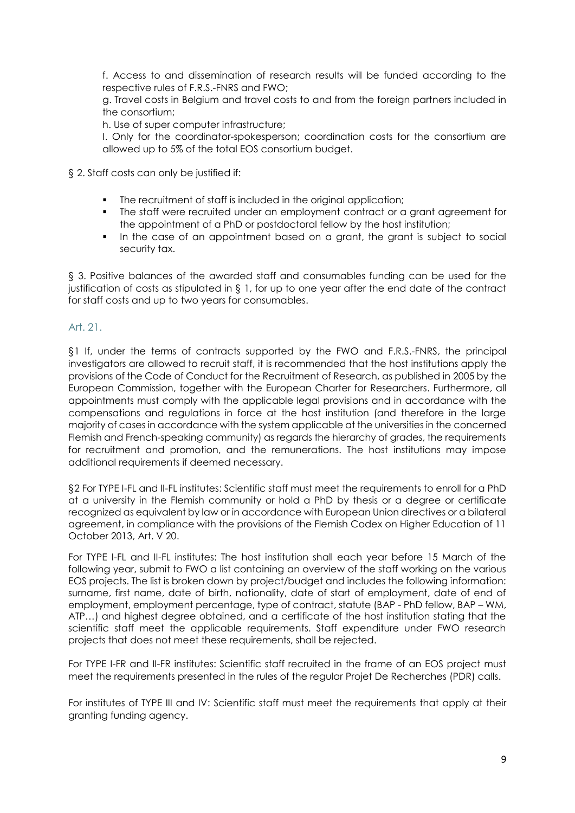f. Access to and dissemination of research results will be funded according to the respective rules of F.R.S.-FNRS and FWO;

g. Travel costs in Belgium and travel costs to and from the foreign partners included in the consortium;

h. Use of super computer infrastructure;

I. Only for the coordinator-spokesperson; coordination costs for the consortium are allowed up to 5% of the total EOS consortium budget.

§ 2. Staff costs can only be justified if:

- The recruitment of staff is included in the original application;
- The staff were recruited under an employment contract or a grant agreement for the appointment of a PhD or postdoctoral fellow by the host institution;
- In the case of an appointment based on a grant, the grant is subject to social security tax.

§ 3. Positive balances of the awarded staff and consumables funding can be used for the justification of costs as stipulated in  $\S 1$ , for up to one year after the end date of the contract for staff costs and up to two years for consumables.

### Art. 21.

§1 If, under the terms of contracts supported by the FWO and F.R.S.-FNRS, the principal investigators are allowed to recruit staff, it is recommended that the host institutions apply the provisions of the Code of Conduct for the Recruitment of Research, as published in 2005 by the European Commission, together with [the European Charter for Researchers.](http://www.fwo.be/CMSDownload.aspx?ID=ab7ffd8d-3a39-498e-b61f-7d1f43bb253c&L=nl) Furthermore, all appointments must comply with the applicable legal provisions and in accordance with the compensations and regulations in force at the host institution (and therefore in the large majority of cases in accordance with the system applicable at the universities in the concerned Flemish and French-speaking community) as regards the hierarchy of grades, the requirements for recruitment and promotion, and the remunerations. The host institutions may impose additional requirements if deemed necessary.

§2 For TYPE I-FL and II-FL institutes: Scientific staff must meet the requirements to enroll for a PhD at a university in the Flemish community or hold a PhD by thesis or a degree or certificate recognized as equivalent by law or in accordance with European Union directives or a bilateral agreement, in compliance with the provisions of the Flemish Codex on Higher Education of 11 October 2013, Art. V 20.

For TYPE I-FL and II-FL institutes: The host institution shall each year before 15 March of the following year, submit to FWO a list containing an overview of the staff working on the various EOS projects. The list is broken down by project/budget and includes the following information: surname, first name, date of birth, nationality, date of start of employment, date of end of employment, employment percentage, type of contract, statute (BAP - PhD fellow, BAP – WM, ATP…) and highest degree obtained, and a certificate of the host institution stating that the scientific staff meet the applicable requirements. Staff expenditure under FWO research projects that does not meet these requirements, shall be rejected.

For TYPE I-FR and II-FR institutes: Scientific staff recruited in the frame of an EOS project must meet the requirements presented in the rules of the regular Projet De Recherches (PDR) calls.

For institutes of TYPE III and IV: Scientific staff must meet the requirements that apply at their granting funding agency.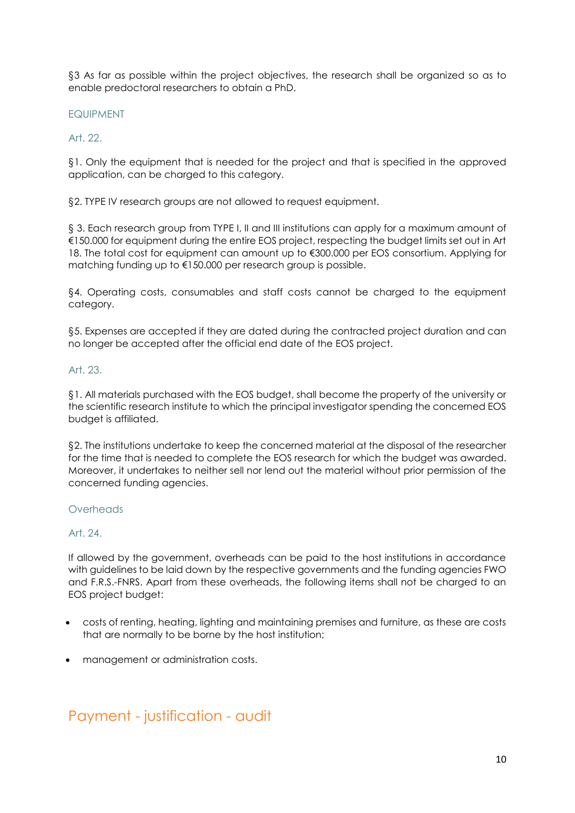§3 As far as possible within the project objectives, the research shall be organized so as to enable predoctoral researchers to obtain a PhD.

#### EQUIPMENT

#### Art. 22.

§1. Only the equipment that is needed for the project and that is specified in the approved application, can be charged to this category.

§2. TYPE IV research groups are not allowed to request equipment.

§ 3. Each research group from TYPE I, II and III institutions can apply for a maximum amount of €150.000 for equipment during the entire EOS project, respecting the budget limits set out in Art 18. The total cost for equipment can amount up to €300.000 per EOS consortium. Applying for matching funding up to €150.000 per research group is possible.

§4. Operating costs, consumables and staff costs cannot be charged to the equipment category.

§5. Expenses are accepted if they are dated during the contracted project duration and can no longer be accepted after the official end date of the EOS project.

#### Art. 23.

§1. All materials purchased with the EOS budget, shall become the property of the university or the scientific research institute to which the principal investigator spending the concerned EOS budget is affiliated.

§2. The institutions undertake to keep the concerned material at the disposal of the researcher for the time that is needed to complete the EOS research for which the budget was awarded. Moreover, it undertakes to neither sell nor lend out the material without prior permission of the concerned funding agencies.

### **Overheads**

### Art. 24.

If allowed by the government, overheads can be paid to the host institutions in accordance with guidelines to be laid down by the respective governments and the funding agencies FWO and F.R.S.-FNRS. Apart from these overheads, the following items shall not be charged to an EOS project budget:

- costs of renting, heating, lighting and maintaining premises and furniture, as these are costs that are normally to be borne by the host institution;
- management or administration costs.

## Payment - justification - audit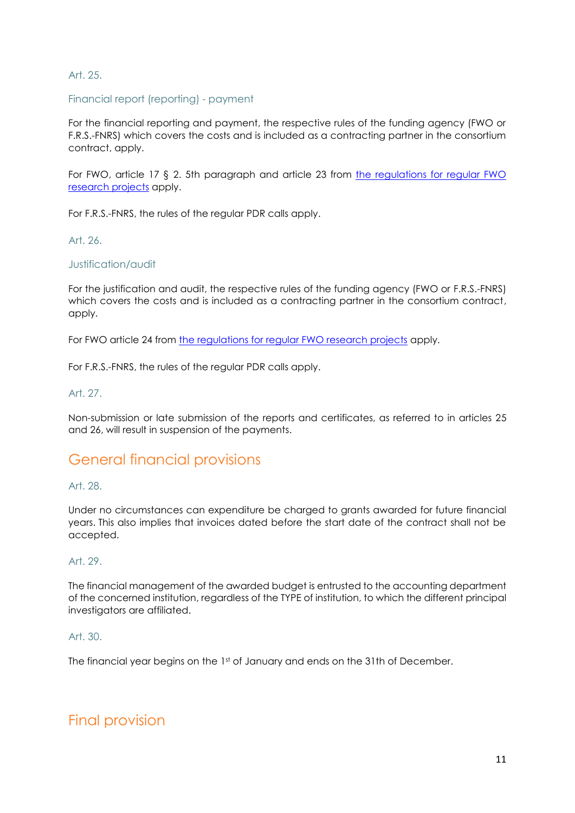### Art. 25.

#### Financial report (reporting) - payment

For the financial reporting and payment, the respective rules of the funding agency (FWO or F.R.S.-FNRS) which covers the costs and is included as a contracting partner in the consortium contract, apply.

For FWO, article 17 § 2. 5th paragraph and article 23 from [the regulations for regular FWO](http://www.fwo.be/en/fellowships-funding/research-projects/research-project/regulations-for-research-projects/)  [research projects](http://www.fwo.be/en/fellowships-funding/research-projects/research-project/regulations-for-research-projects/) apply.

For F.R.S.-FNRS, the rules of the regular PDR calls apply.

Art. 26.

#### Justification/audit

For the justification and audit, the respective rules of the funding agency (FWO or F.R.S.-FNRS) which covers the costs and is included as a contracting partner in the consortium contract, apply.

For FWO article 24 from [the regulations for regular FWO research projects](http://www.fwo.be/en/fellowships-funding/research-projects/research-project/regulations-for-research-projects/) apply.

For F.R.S.-FNRS, the rules of the regular PDR calls apply.

#### Art. 27.

Non-submission or late submission of the reports and certificates, as referred to in articles 25 and 26, will result in suspension of the payments.

## General financial provisions

#### Art. 28.

Under no circumstances can expenditure be charged to grants awarded for future financial years. This also implies that invoices dated before the start date of the contract shall not be accepted.

#### Art. 29.

The financial management of the awarded budget is entrusted to the accounting department of the concerned institution, regardless of the TYPE of institution, to which the different principal investigators are affiliated.

#### Art. 30.

The financial year begins on the 1st of January and ends on the 31th of December.

## Final provision